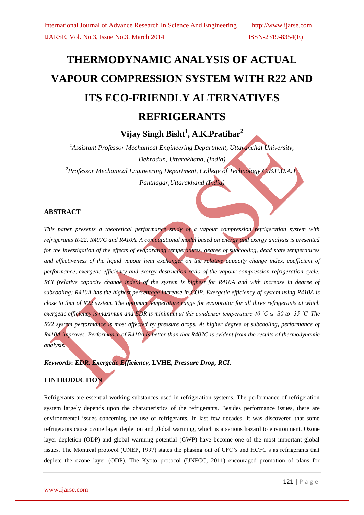# **THERMODYNAMIC ANALYSIS OF ACTUAL VAPOUR COMPRESSION SYSTEM WITH R22 AND ITS ECO-FRIENDLY ALTERNATIVES REFRIGERANTS**

**Vijay Singh Bisht<sup>1</sup> , A.K.Pratihar<sup>2</sup>**

*<sup>1</sup>Assistant Professor Mechanical Engineering Department, Uttaranchal University, Dehradun, Uttarakhand, (India) <sup>2</sup>Professor Mechanical Engineering Department, College of Technology G.B.P.U.A.T, Pantnagar,Uttarakhand (India)*

## **ABSTRACT**

*This paper presents a theoretical performance study of a vapour compression refrigeration system with refrigerants R-22, R407C and R410A. A computational model based on energy and exergy analysis is presented for the investigation of the effects of evaporating temperatures, degree of subcooling, dead state temperatures and effectiveness of the liquid vapour heat exchanger on the relative capacity change index, coefficient of performance, exergetic efficiency and exergy destruction ratio of the vapour compression refrigeration cycle. RCI* (relative capacity change index) of the system is highest for R410A and with increase in degree of *subcooling; R410A has the highest percentage increase in COP. Exergetic efficiency of system using R410A is close to that of R22 system. The optimum temperature range for evaporator for all three refrigerants at which exergetic efficiency is maximum and EDR is minimum at this condenser temperature 40 ˚C is -30 to -35 ˚C. The R22 system performance is most affected by pressure drops. At higher degree of subcooling, performance of R410A improves. Performance of R410A is better than that R407C is evident from the results of thermodynamic analysis.*

*Keywords***:** *EDR, Exergetic Efficiency,* **LVHE***, Pressure Drop, RCI.*

## **I INTRODUCTION**

Refrigerants are essential working substances used in refrigeration systems. The performance of refrigeration system largely depends upon the characteristics of the refrigerants. Besides performance issues, there are environmental issues concerning the use of refrigerants. In last few decades, it was discovered that some refrigerants cause ozone layer depletion and global warming, which is a serious hazard to environment. Ozone layer depletion (ODP) and global warming potential (GWP) have become one of the most important global issues. The Montreal protocol (UNEP, 1997) states the phasing out of CFC's and HCFC's as refrigerants that deplete the ozone layer (ODP). The Kyoto protocol (UNFCC, 2011) encouraged promotion of plans for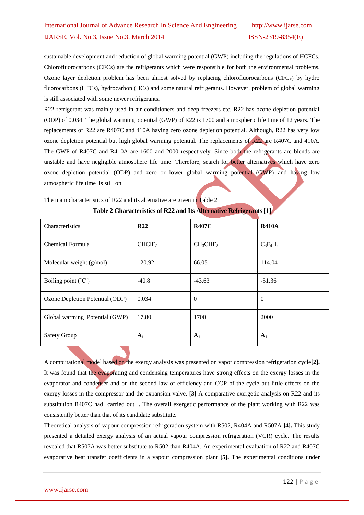sustainable development and reduction of global warming potential (GWP) including the regulations of HCFCs. Chlorofluorocarbons (CFCs) are the refrigerants which were responsible for both the environmental problems. Ozone layer depletion problem has been almost solved by replacing chlorofluorocarbons (CFCs) by hydro fluorocarbons (HFCs), hydrocarbon (HCs) and some natural refrigerants. However, problem of global warming is still associated with some newer refrigerants.

R22 refrigerant was mainly used in air conditioners and deep freezers etc. R22 has ozone depletion potential (ODP) of 0.034. The global warming potential (GWP) of R22 is 1700 and atmospheric life time of 12 years. The replacements of R22 are R407C and 410A having zero ozone depletion potential. Although, R22 has very low ozone depletion potential but high global warming potential. The replacements of R22 are R407C and 410A. The GWP of R407C and R410A are 1600 and 2000 respectively. Since both the refrigerants are blends are unstable and have negligible atmosphere life time. Therefore, search for better alternatives which have zero ozone depletion potential (ODP) and zero or lower global warming potential (GWP) and having low atmospheric life time is still on.

The main characteristics of R22 and its alternative are given in Table 2

| Characteristics                 | R <sub>22</sub>    | <b>R407C</b>                     | <b>R410A</b> |
|---------------------------------|--------------------|----------------------------------|--------------|
| Chemical Formula                | CHCIF <sub>2</sub> | CH <sub>3</sub> CHF <sub>2</sub> | $C_3F_4H_2$  |
| Molecular weight (g/mol)        | 120.92             | 66.05                            | 114.04       |
| Boiling point $(^{\circ}C)$     | $-40.8$            | $-43.63$                         | $-51.36$     |
| Ozone Depletion Potential (ODP) | 0.034              | $\mathbf{0}$                     | $\theta$     |
| Global warming Potential (GWP)  | 17,80              | 1700                             | 2000         |
| <b>Safety Group</b>             | A <sub>1</sub>     | $A_1$                            | $A_1$        |

| Table 2 Characteristics of R22 and Its Alternative Refrigerants [1] |  |
|---------------------------------------------------------------------|--|
|                                                                     |  |

A computational model based on the exergy analysis was presented on vapor compression refrigeration cycle**[2].** It was found that the evaporating and condensing temperatures have strong effects on the exergy losses in the evaporator and condenser and on the second law of efficiency and COP of the cycle but little effects on the exergy losses in the compressor and the expansion valve. **[3]** A comparative exergetic analysis on R22 and its substitution R407C had carried out . The overall exergetic performance of the plant working with R22 was consistently better than that of its candidate substitute.

Theoretical analysis of vapour compression refrigeration system with R502, R404A and R507A **[4].** This study presented a detailed exergy analysis of an actual vapour compression refrigeration (VCR) cycle. The results revealed that R507A was better substitute to R502 than R404A. An experimental evaluation of R22 and R407C evaporative heat transfer coefficients in a vapour compression plant **[5].** The experimental conditions under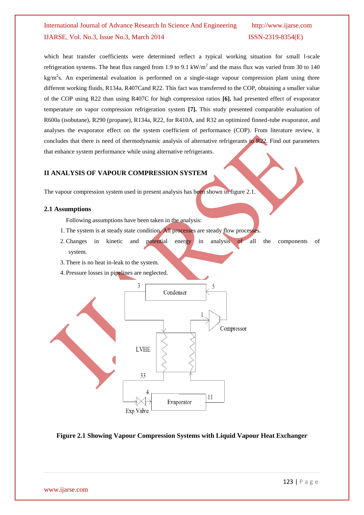which heat transfer coefficients were determined reflect a typical working situation for small l-scale refrigeration systems. The heat flux ranged from 1.9 to 9.1 kW/ $m^2$  and the mass flux was varied from 30 to 140  $kg/m<sup>2</sup>s$ . An experimental evaluation is performed on a single-stage vapour compression plant using three different working fluids, R134a, R407Cand R22. This fact was transferred to the COP, obtaining a smaller value of the COP using R22 than using R407C for high compression ratios **[6].** had presented effect of evaporator temperature on vapor compression refrigeration system **[7].** This study presented comparable evaluation of R600a (isobutane), R290 (propane), R134a, R22, for R410A, and R32 an optimized finned-tube evaporator, and analyses the evaporator effect on the system coefficient of performance (COP). From literature review, it concludes that there is need of thermodynamic analysis of alternative refrigerants to R22. Find out parameters that enhance system performance while using alternative refrigerants.

### **II ANALYSIS OF VAPOUR COMPRESSION SYSTEM**

The vapour compression system used in present analysis has been shown in figure 2.1.

#### **2.1 Assumptions**

Following assumptions have been taken in the analysis:

- 1. The system is at steady state condition. All processes are steady flow processes.
- 2. Changes in kinetic and potential energy in analysis of all the components of system.
- 3. There is no heat in-leak to the system.
- 4. Pressure losses in pipelines are neglected.



#### **Figure 2.1 Showing Vapour Compression Systems with Liquid Vapour Heat Exchanger**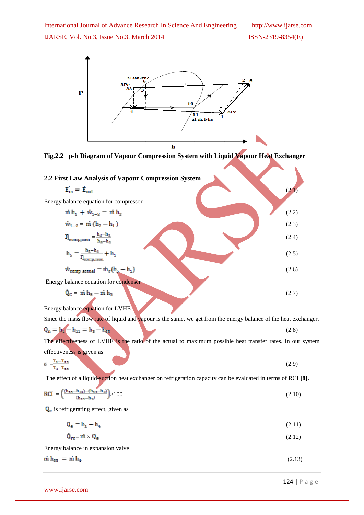

**Fig.2.2 p-h Diagram of Vapour Compression System with Liquid Vapour Heat Exchanger**

| 2.2 First Law Analysis of Vapour Compression System                                                       |       |
|-----------------------------------------------------------------------------------------------------------|-------|
| $E_{\rm in} = \dot{E}_{\rm out}$                                                                          | (2.1  |
| Energy balance equation for compressor                                                                    |       |
| $\dot{m} h_1 + \dot{w}_{1-2} = \dot{m} h_2$                                                               | (2.2) |
| $\dot{w}_{1-2} = \dot{m} (h_2 - h_1)$                                                                     | (2.3) |
| $\eta_{\text{comp,isen}} = \frac{h_2 - h_4}{h_5 - h_4}$                                                   | (2.4) |
| $\mathbf{h}_5 = \frac{\mathbf{h}_2 - \mathbf{h}_4}{\mathbf{I}_{\text{comp}, \text{isen}}} + \mathbf{h}_4$ | (2.5) |
| $\dot{w}_{comp, actual} = \dot{m}_r(h_5 - h_1)$                                                           | (2.6) |
| Energy balance equation for condenser                                                                     |       |
| $Q_C = \dot{m} h_5 - \dot{m} h_2$<br>Energy balance equation for LVHE                                     | (2.7) |
|                                                                                                           |       |

Since the mass flow rate of liquid and vapour is the same, we get from the energy balance of the heat exchanger.  $Q_n = h_1 - h_{11} = h_3 - h_{12}$ (2.8) The effectiveness of LVHE is the ratio of the actual to maximum possible heat transfer rates. In our system effectiveness is given as

$$
\varepsilon = \frac{T_1 - T_{11}}{T_3 - T_{11}}\tag{2.9}
$$

The effect of a liquid-suction heat exchanger on refrigeration capacity can be evaluated in terms of RCI **[8].**

$$
RCI = \left(\frac{(h_{11} - h_{33}) - (h_{11} - h_3)}{(h_{11} - h_3)}\right) \times 100\tag{2.10}
$$

 $Q_e$  is refrigerating effect, given as

$$
\mathbf{Q}_e = \mathbf{h}_1 - \mathbf{h}_4 \tag{2.11}
$$

$$
\mathbf{Q}_{\mathbf{rc}} = \dot{\mathbf{m}} \times \mathbf{Q}_{\mathbf{e}} \tag{2.12}
$$

Energy balance in expansion valve  $\dot{m}$   $h_{22}$  =  $\dot{m}$   $h_4$ 

(2.13)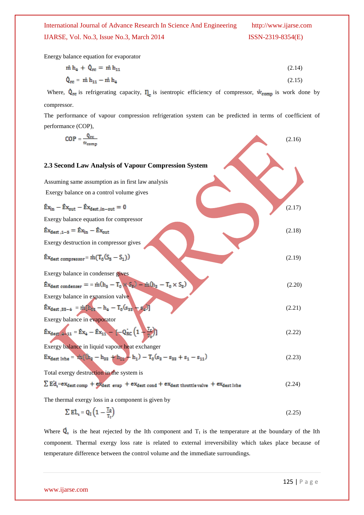Energy balance equation for evaporator

$$
\dot{m} h_4 + \dot{Q}_{rc} = \dot{m} h_{11} \tag{2.14}
$$

$$
\dot{\mathbf{Q}}_{\rm rc} = \dot{\mathbf{m}} \, \mathbf{h}_{11} - \dot{\mathbf{m}} \, \mathbf{h}_{4} \tag{2.15}
$$

Where,  $\dot{Q}_{rc}$  is refrigerating capacity,  $\eta_c$  is isentropic efficiency of compressor,  $\dot{w}_{comp}$  is work done by compressor.

The performance of vapour compression refrigeration system can be predicted in terms of coefficient of performance (COP),

| $COP =$                                                                                                                                                                                                 | (2.16) |
|---------------------------------------------------------------------------------------------------------------------------------------------------------------------------------------------------------|--------|
|                                                                                                                                                                                                         |        |
| 2.3 Second Law Analysis of Vapour Compression System                                                                                                                                                    |        |
| Assuming same assumption as in first law analysis                                                                                                                                                       |        |
| Exergy balance on a control volume gives                                                                                                                                                                |        |
| $\hat{E}x_{in} - \hat{E}x_{out} - \hat{E}x_{dest,in-out} = 0$                                                                                                                                           | (2.17) |
| Exergy balance equation for compressor                                                                                                                                                                  |        |
| $\hat{E}x_{dest,1-5} = \hat{E}x_{in} - \hat{E}x_{out}$                                                                                                                                                  | (2.18) |
| Exergy destruction in compressor gives                                                                                                                                                                  |        |
| $\text{Ex}_{\text{dest}}$ compressor = $\text{m}(T_0(S_5 - S_1))$                                                                                                                                       | (2.19) |
| Exergy balance in condenser gives                                                                                                                                                                       |        |
| $\dot{\mathtt{Ex}}_\mathtt{dest\;condenser} = \dot{=}\, \dot{m}(h_5 - T_0 \!\times\! \mathbb{S}_5) - \dot{m}(h_3 - T_0 \!\times\! \mathbb{S}_3)$                                                        | (2.20) |
| Exergy balance in expansion valve                                                                                                                                                                       |        |
| $\text{Ex}_{\text{dest }, 33-4}\ = \text{m}[\text{h}_{\text{12}}-\text{h}_{\text{4}}-\text{T}_0(\text{s}_{\text{33}}-\text{s}_{\text{4}})]$                                                             | (2.21) |
| Exergy balance in evaporator                                                                                                                                                                            |        |
| $\mathbf{E} \mathbf{x}_{\text{dest}, 4-11} = \mathbf{E} \mathbf{x}_4 - \mathbf{E} \mathbf{x}_{11} - \left[ -\mathbf{Q}_{\text{RC}} \left( 1 - \frac{\mathbf{T}_\text{P}}{\mathbf{T}_2} \right) \right]$ | (2.22) |
| Exergy balance in liquid vapour heat exchanger                                                                                                                                                          |        |
| $\text{Ex}_{\text{dest lvhe}} = \text{nti}((\text{h}_2 - \text{h}_{33} \text{ + h}_{\text{lu}} - \text{h}_1) - \text{T}_0(\text{s}_3 - \text{s}_{33} + \text{s}_1 - \text{s}_{11})$                     | (2.23) |
| Total exergy destruction in the system is                                                                                                                                                               |        |
| $\sum$ Ed <sub>1</sub> =ex <sub>dest comp + ex<sub>dest</sub> evap + ex<sub>dest cond</sub> + ex<sub>dest throttle valve</sub> + ex<sub>dest lvhe</sub></sub>                                           | (2.24) |
| The thermal exergy loss in a component is given by                                                                                                                                                      |        |

$$
\sum E L_{i} = Q_{I} \left( 1 - \frac{T_{0}}{T_{I}} \right) \tag{2.25}
$$

Where  $\overline{Q}_1$  is the heat rejected by the Ith component and  $T_1$  is the temperature at the boundary of the Ith component. Thermal exergy loss rate is related to external irreversibility which takes place because of temperature difference between the control volume and the immediate surroundings.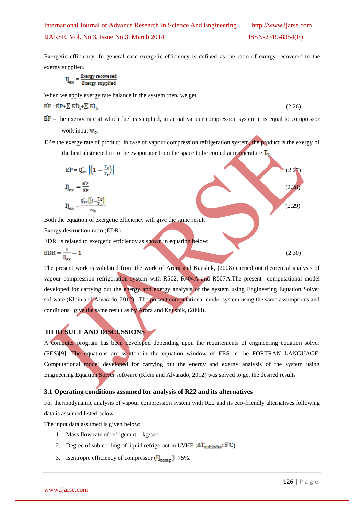Exergetic efficiency: In general case exergetic efficiency is defined as the ratio of exergy recovered to the exergy supplied.

$$
\eta_{ex} = \tfrac{\text{Every recovered}}{\text{Every supplied}}
$$

When we apply exergy rate balance in the system then, we get

$$
\mathbf{EF} = \mathbf{EP} + \sum \mathbf{ED}_1 + \sum \mathbf{EL}_1 \tag{2.26}
$$

 $EF$  = the exergy rate at which fuel is supplied, in actual vapour compression system it is equal to compressor work input  $W_c$ .

EP= the exergy rate of product, in case of vapour compression refrigeration system, the product is the exergy of the heat abstracted in to the evaporator from the space to be cooled at temperature  $T_{\text{th}}$ ,

$$
EP = Q_{rc}^{'} \left| \left( 1 - \frac{T_0}{T_r} \right) \right|
$$
\n
$$
\eta_{ex} = \frac{EP}{EF}
$$
\n
$$
\eta_{ex} = \frac{Q_{rc} \left| \left( 1 - \frac{T_0}{T_r} \right) \right|}{w_c}
$$
\nBoth the equation of exergetic efficiency will give the same result\nExercise 2.29\n(2.29)\n\nBoth the equation of exergetic efficiency as shown in equation below:

$$
EDR = \frac{1}{\eta_{\text{ex}}} - 1\tag{2.30}
$$

The present work is validated from the work of Arora and Kaushik, (2008) carried out theoretical analysis of vapour compression refrigeration system with R502, R404A and R507A.The present computational model developed for carrying out the energy and exergy analysis of the system using Engineering Equation Solver software (Klein and Alvarado, 2012). The present computational model system using the same assumptions and conditions give the same result as by Arora and Kaushik, (2008).

## **III RESULT AND DISCUSSIONS**

A computer program has been developed depending upon the requirements of engineering equation solver (EES)[9]. The equations are written in the equation window of EES in the FORTRAN LANGUAGE. Computational model developed for carrying out the energy and exergy analysis of the system using Engineering Equation Solver software (Klein and Alvarado, 2012) was solved to get the desired results

#### **3.1 Operating conditions assumed for analysis of R22 and its alternatives**

For thermodynamic analysis of vapour compression system with R22 and its eco-friendly alternatives following data is assumed listed below.

The input data assumed is given below:

- 1. Mass flow rate of refrigerant: 1kg/sec.
- 2. Degree of sub cooling of liquid refrigerant in LVHE  $(\Delta T_{sub.blue}: 5^{\circ}C)$ .
- 3. Isentropic efficiency of compressor  $(I_{\text{comm}})$ :75%.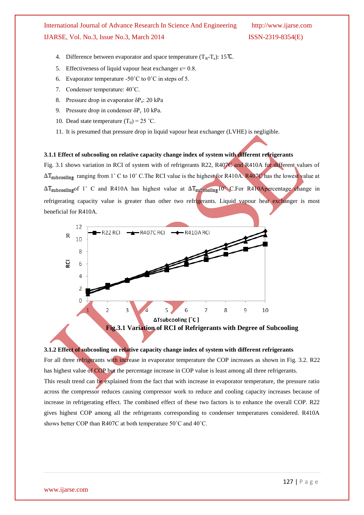- 4. Difference between evaporator and space temperature  $(T_R T_e)$ : 15  $\overline{C}$ .
- 5. Effectiveness of liquid vapour heat exchanger  $\varepsilon = 0.8$ .
- 6. Evaporator temperature -50 $^{\circ}$ C to 0 $^{\circ}$ C in steps of 5.
- 7. Condenser temperature: 40˚C.
- 8. Pressure drop in evaporator δP<sup>e</sup> : 20 kPa
- 9. Pressure drop in condenser  $\delta P_c$  10 kPa.
- 10. Dead state temperature  $(T_0) = 25$  °C.
- 11. It is presumed that pressure drop in liquid vapour heat exchanger (LVHE) is negligible.

#### **3.1.1 Effect of subcooling on relative capacity change index of system with different refrigerants**

Fig. 3.1 shows variation in RCI of system with of refrigerants R22, R407C and R410A for different values of AT<sub>subcooling</sub> ranging from 1° C to 10° C. The RCI value is the highest for R410A. R407C has the lowest value at  $\Delta T_{subcooling}$  of 1° C and R410A has highest value at  $\Delta T_{subcooling}$  10° C. For R410Apercentage change in refrigerating capacity value is greater than other two refrigerants. Liquid vapour heat exchanger is most beneficial for R410A.



## **Fig.3.1 Variation of RCI of Refrigerants with Degree of Subcooling**

#### **3.1.2 Effect of subcooling on relative capacity change index of system with different refrigerants**

For all three refrigerants with increase in evaporator temperature the COP increases as shown in Fig. 3.2. R22 has highest value of COP but the percentage increase in COP value is least among all three refrigerants. This result trend can be explained from the fact that with increase in evaporator temperature, the pressure ratio across the compressor reduces causing compressor work to reduce and cooling capacity increases because of increase in refrigerating effect. The combined effect of these two factors is to enhance the overall COP. R22 gives highest COP among all the refrigerants corresponding to condenser temperatures considered. R410A shows better COP than R407C at both temperature 50˚C and 40˚C.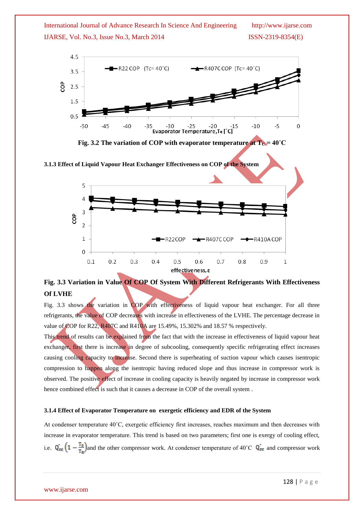



**Fig. 3.2** The variation of COP with evaporator temperature at  $T_c = 40^\circ C$ 

**3.1.3 Effect of Liquid Vapour Heat Exchanger Effectiveness on COP of the System**



## **Fig. 3.3 Variation in Value Of COP Of System With Different Refrigerants With Effectiveness Of LVHE**

Fig. 3.3 shows the variation in COP with effectiveness of liquid vapour heat exchanger. For all three refrigerants, the value of COP decreases with increase in effectiveness of the LVHE. The percentage decrease in value of  $COP$  for R22, R407C and R410A are 15.49%, 15.302% and 18.57 % respectively.

This trend of results can be explained from the fact that with the increase in effectiveness of liquid vapour heat exchanger, first there is increase in degree of subcooling, consequently specific refrigerating effect increases causing cooling capacity to increase. Second there is superheating of suction vapour which causes isentropic compression to happen along the isentropic having reduced slope and thus increase in compressor work is observed. The positive effect of increase in cooling capacity is heavily negated by increase in compressor work hence combined effect is such that it causes a decrease in COP of the overall system .

#### **3.1.4 Effect of Evaporator Temperature on exergetic efficiency and EDR of the System**

At condenser temperature 40˚C, exergetic efficiency first increases, reaches maximum and then decreases with increase in evaporator temperature. This trend is based on two parameters; first one is exergy of cooling effect, i.e.  $Q_{\text{rc}} \left(1 - \frac{T_0}{T_P}\right)$  and the other compressor work. At condenser temperature of 40°C  $Q_{\text{rc}}$  and compressor work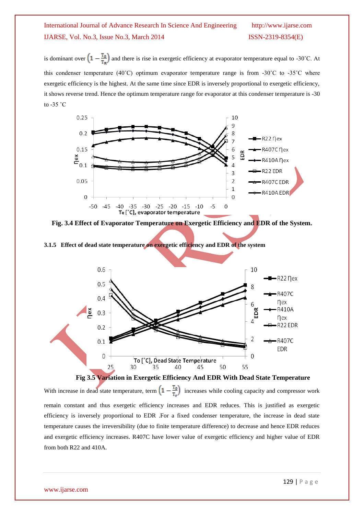is dominant over  $\left(1-\frac{T_0}{T_P}\right)$  and there is rise in exergetic efficiency at evaporator temperature equal to -30°C. At this condenser temperature (40°C) optimum evaporator temperature range is from -30°C to -35°C where exergetic efficiency is the highest. At the same time since EDR is inversely proportional to exergetic efficiency, it shows reverse trend. Hence the optimum temperature range for evaporator at this condenser temperature is -30 to  $-35$   $\degree$ C



**Fig. 3.4 Effect of Evaporator Temperature on Exergetic Efficiency and EDR of the System.**

**3.1.5 Effect of dead state temperature on exergetic efficiency and EDR of the system**





With increase in dead state temperature, term  $\left(1 - \frac{T_0}{T_1}\right)$  increases while cooling capacity and compressor work remain constant and thus exergetic efficiency increases and EDR reduces. This is justified as exergetic efficiency is inversely proportional to EDR .For a fixed condenser temperature, the increase in dead state temperature causes the irreversibility (due to finite temperature difference) to decrease and hence EDR reduces and exergetic efficiency increases. R407C have lower value of exergetic efficiency and higher value of EDR from both R22 and 410A.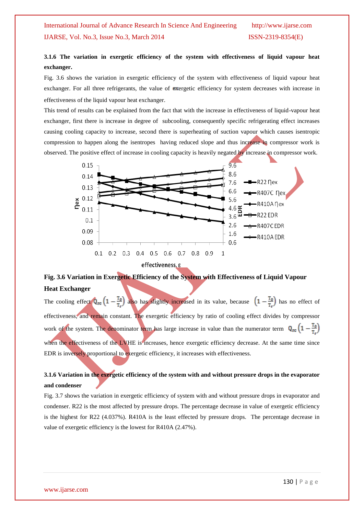## **3.1.6 The variation in exergetic efficiency of the system with effectiveness of liquid vapour heat exchanger.**

Fig. 3.6 shows the variation in exergetic efficiency of the system with effectiveness of liquid vapour heat exchanger. For all three refrigerants, the value of exergetic efficiency for system decreases with increase in effectiveness of the liquid vapour heat exchanger.

This trend of results can be explained from the fact that with the increase in effectiveness of liquid-vapour heat exchanger, first there is increase in degree of subcooling, consequently specific refrigerating effect increases causing cooling capacity to increase, second there is superheating of suction vapour which causes isentropic compression to happen along the isentropes having reduced slope and thus increase in compressor work is observed. The positive effect of increase in cooling capacity is heavily negated by increase in compressor work.



## **Fig. 3.6 Variation in Exergetic Efficiency of the System with Effectiveness of Liquid Vapour Heat Exchanger**

The cooling effect  $Q_{\text{rc}}\left(1-\frac{T_0}{T_1}\right)$  also has slightly increased in its value, because  $\left(1-\frac{T_0}{T_1}\right)$  has no effect of effectiveness, and remain constant. The exergetic efficiency by ratio of cooling effect divides by compressor work of the system. The denominator term has large increase in value than the numerator term  $Q_{re} (1 - \frac{T_0}{T_0})$ when the effectiveness of the LVHE is increases, hence exergetic efficiency decrease. At the same time since EDR is inversely proportional to exergetic efficiency, it increases with effectiveness.

## **3.1.6 Variation in the exergetic efficiency of the system with and without pressure drops in the evaporator and condenser**

Fig. 3.7 shows the variation in exergetic efficiency of system with and without pressure drops in evaporator and condenser. R22 is the most affected by pressure drops. The percentage decrease in value of exergetic efficiency is the highest for R22 (4.037%). R410A is the least effected by pressure drops. The percentage decrease in value of exergetic efficiency is the lowest for R410A (2.47%).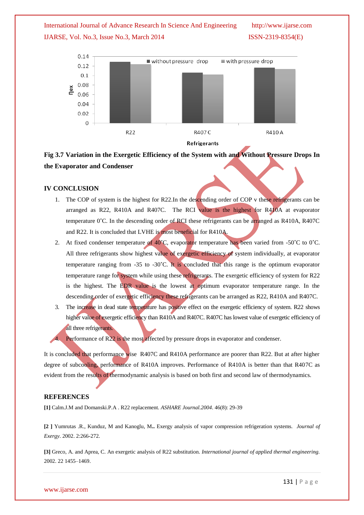



**Fig 3.7 Variation in the Exergetic Efficiency of the System with and Without Pressure Drops In the Evaporator and Condenser**

#### **IV CONCLUSION**

- 1. The COP of system is the highest for R22.In the descending order of COP v these refrigerants can be arranged as R22, R410A and R407C. The RCI value is the highest for R410A at evaporator temperature 0˚C. In the descending order of RCI these refrigerants can be arranged as R410A, R407C and R22. It is concluded that LVHE is most beneficial for R410A.
- 2. At fixed condenser temperature of 40°C, evaporator temperature has been varied from -50°C to 0°C. All three refrigerants show highest value of exergetic efficiency of system individually, at evaporator temperature ranging from -35 to -30˚C. It is concluded that this range is the optimum evaporator temperature range for system while using these refrigerants. The exergetic efficiency of system for R22 is the highest. The EDR value is the lowest at optimum evaporator temperature range. In the descending order of exergetic efficiency these refrigerants can be arranged as R22, R410A and R407C.
- 3. The increase in dead state temperature has positive effect on the exergetic efficiency of system. R22 shows higher value of exergetic efficiency than R410A and R407C. R407C has lowest value of exergetic efficiency of all three refrigerants.

Performance of R22 is the most affected by pressure drops in evaporator and condenser.

It is concluded that performance wise R407C and R410A performance are poorer than R22. But at after higher degree of subcooling, performance of R410A improves. Performance of R410A is better than that R407C as evident from the results of thermodynamic analysis is based on both first and second law of thermodynamics.

#### **REFERENCES**

**[1]** Calm.J.M and Domanski.P.A . R22 replacement*. ASHARE Journal.2004*. 46(8): 29-39

**[2 ]** Yumrutas .R., Kunduz, M and Kanoglu, M**..** Exergy analysis of vapor compression refrigeration systems*. Journal of Exergy*. 2002. 2:266-272.

**[3]** Greco, A. and Aprea, C. An exergetic analysis of R22 substitution. *International journal of applied thermal engineering.* 2002. 22 1455–1469.